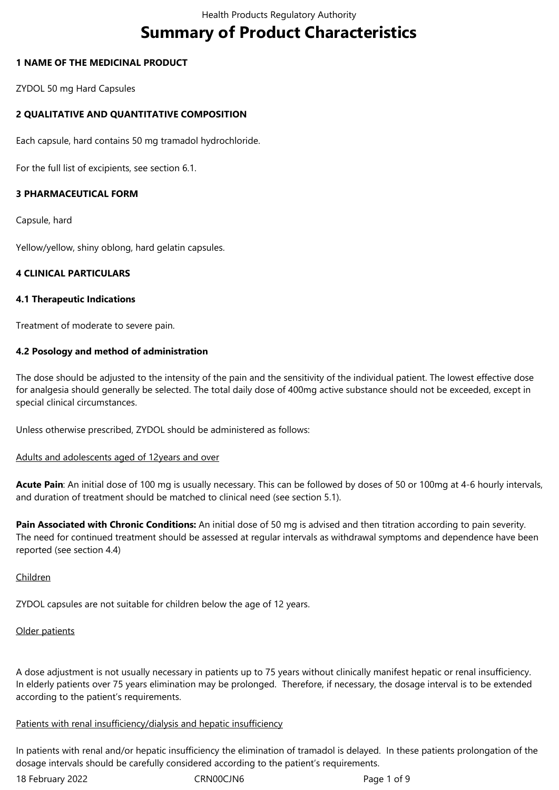# **Summary of Product Characteristics**

# **1 NAME OF THE MEDICINAL PRODUCT**

ZYDOL 50 mg Hard Capsules

# **2 QUALITATIVE AND QUANTITATIVE COMPOSITION**

Each capsule, hard contains 50 mg tramadol hydrochloride.

For the full list of excipients, see section 6.1.

# **3 PHARMACEUTICAL FORM**

Capsule, hard

Yellow/yellow, shiny oblong, hard gelatin capsules.

# **4 CLINICAL PARTICULARS**

#### **4.1 Therapeutic Indications**

Treatment of moderate to severe pain.

# **4.2 Posology and method of administration**

The dose should be adjusted to the intensity of the pain and the sensitivity of the individual patient. The lowest effective dose for analgesia should generally be selected. The total daily dose of 400mg active substance should not be exceeded, except in special clinical circumstances.

Unless otherwise prescribed, ZYDOL should be administered as follows:

#### Adults and adolescents aged of 12years and over

**Acute Pain**: An initial dose of 100 mg is usually necessary. This can be followed by doses of 50 or 100mg at 4-6 hourly intervals, and duration of treatment should be matched to clinical need (see section 5.1).

**Pain Associated with Chronic Conditions:** An initial dose of 50 mg is advised and then titration according to pain severity. The need for continued treatment should be assessed at regular intervals as withdrawal symptoms and dependence have been reported (see section 4.4)

#### Children

ZYDOL capsules are not suitable for children below the age of 12 years.

#### Older patients

A dose adjustment is not usually necessary in patients up to 75 years without clinically manifest hepatic or renal insufficiency. In elderly patients over 75 years elimination may be prolonged. Therefore, if necessary, the dosage interval is to be extended according to the patient's requirements.

#### Patients with renal insufficiency/dialysis and hepatic insufficiency

In patients with renal and/or hepatic insufficiency the elimination of tramadol is delayed. In these patients prolongation of the dosage intervals should be carefully considered according to the patient's requirements.

18 February 2022 CRN00CJN6 Page 1 of 9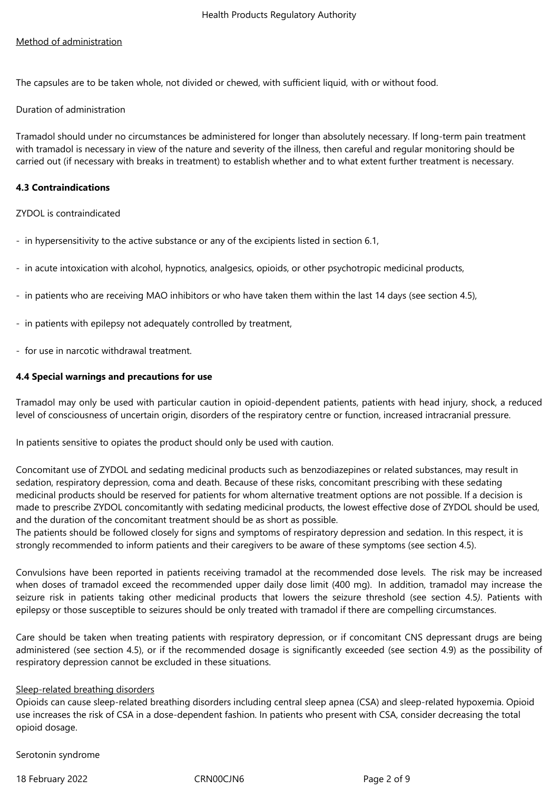# Method of administration

The capsules are to be taken whole, not divided or chewed, with sufficient liquid, with or without food.

## Duration of administration

Tramadol should under no circumstances be administered for longer than absolutely necessary. If long-term pain treatment with tramadol is necessary in view of the nature and severity of the illness, then careful and regular monitoring should be carried out (if necessary with breaks in treatment) to establish whether and to what extent further treatment is necessary.

# **4.3 Contraindications**

ZYDOL is contraindicated

- in hypersensitivity to the active substance or any of the excipients listed in section 6.1,
- in acute intoxication with alcohol, hypnotics, analgesics, opioids, or other psychotropic medicinal products,
- in patients who are receiving MAO inhibitors or who have taken them within the last 14 days (see section 4.5),
- in patients with epilepsy not adequately controlled by treatment,
- for use in narcotic withdrawal treatment.

# **4.4 Special warnings and precautions for use**

Tramadol may only be used with particular caution in opioid-dependent patients, patients with head injury, shock, a reduced level of consciousness of uncertain origin, disorders of the respiratory centre or function, increased intracranial pressure.

In patients sensitive to opiates the product should only be used with caution.

Concomitant use of ZYDOL and sedating medicinal products such as benzodiazepines or related substances, may result in sedation, respiratory depression, coma and death. Because of these risks, concomitant prescribing with these sedating medicinal products should be reserved for patients for whom alternative treatment options are not possible. If a decision is made to prescribe ZYDOL concomitantly with sedating medicinal products, the lowest effective dose of ZYDOL should be used, and the duration of the concomitant treatment should be as short as possible.

The patients should be followed closely for signs and symptoms of respiratory depression and sedation. In this respect, it is strongly recommended to inform patients and their caregivers to be aware of these symptoms (see section 4.5).

Convulsions have been reported in patients receiving tramadol at the recommended dose levels. The risk may be increased when doses of tramadol exceed the recommended upper daily dose limit (400 mg). In addition, tramadol may increase the seizure risk in patients taking other medicinal products that lowers the seizure threshold (see section 4.5*)*. Patients with epilepsy or those susceptible to seizures should be only treated with tramadol if there are compelling circumstances.

Care should be taken when treating patients with respiratory depression, or if concomitant CNS depressant drugs are being administered (see section 4.5), or if the recommended dosage is significantly exceeded (see section 4.9) as the possibility of respiratory depression cannot be excluded in these situations.

#### Sleep-related breathing disorders

Opioids can cause sleep-related breathing disorders including central sleep apnea (CSA) and sleep-related hypoxemia. Opioid use increases the risk of CSA in a dose-dependent fashion. In patients who present with CSA, consider decreasing the total opioid dosage.

Serotonin syndrome

18 February 2022 CRN00CJN6 Page 2 of 9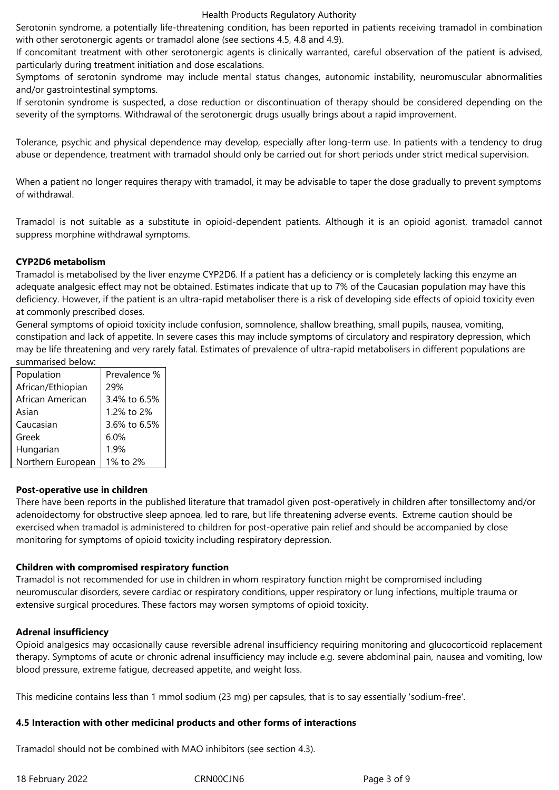#### Health Products Regulatory Authority

Serotonin syndrome, a potentially life-threatening condition, has been reported in patients receiving tramadol in combination with other serotonergic agents or tramadol alone (see sections 4.5, 4.8 and 4.9).

If concomitant treatment with other serotonergic agents is clinically warranted, careful observation of the patient is advised, particularly during treatment initiation and dose escalations.

Symptoms of serotonin syndrome may include mental status changes, autonomic instability, neuromuscular abnormalities and/or gastrointestinal symptoms.

If serotonin syndrome is suspected, a dose reduction or discontinuation of therapy should be considered depending on the severity of the symptoms. Withdrawal of the serotonergic drugs usually brings about a rapid improvement.

Tolerance, psychic and physical dependence may develop, especially after long-term use. In patients with a tendency to drug abuse or dependence, treatment with tramadol should only be carried out for short periods under strict medical supervision.

When a patient no longer requires therapy with tramadol, it may be advisable to taper the dose gradually to prevent symptoms of withdrawal.

Tramadol is not suitable as a substitute in opioid-dependent patients. Although it is an opioid agonist, tramadol cannot suppress morphine withdrawal symptoms.

# **CYP2D6 metabolism**

Tramadol is metabolised by the liver enzyme CYP2D6. If a patient has a deficiency or is completely lacking this enzyme an adequate analgesic effect may not be obtained. Estimates indicate that up to 7% of the Caucasian population may have this deficiency. However, if the patient is an ultra-rapid metaboliser there is a risk of developing side effects of opioid toxicity even at commonly prescribed doses.

General symptoms of opioid toxicity include confusion, somnolence, shallow breathing, small pupils, nausea, vomiting, constipation and lack of appetite. In severe cases this may include symptoms of circulatory and respiratory depression, which may be life threatening and very rarely fatal. Estimates of prevalence of ultra-rapid metabolisers in different populations are summarised below:

| Population        | Prevalence % |
|-------------------|--------------|
| African/Ethiopian | 29%          |
| African American  | 3.4% to 6.5% |
| Asian             | 1.2% to 2%   |
| Caucasian         | 3.6% to 6.5% |
| Greek             | 6.0%         |
| Hungarian         | 1.9%         |
| Northern European | 1% to 2%     |

#### **Post-operative use in children**

There have been reports in the published literature that tramadol given post-operatively in children after tonsillectomy and/or adenoidectomy for obstructive sleep apnoea, led to rare, but life threatening adverse events. Extreme caution should be exercised when tramadol is administered to children for post-operative pain relief and should be accompanied by close monitoring for symptoms of opioid toxicity including respiratory depression.

#### **Children with compromised respiratory function**

Tramadol is not recommended for use in children in whom respiratory function might be compromised including neuromuscular disorders, severe cardiac or respiratory conditions, upper respiratory or lung infections, multiple trauma or extensive surgical procedures. These factors may worsen symptoms of opioid toxicity.

#### **Adrenal insufficiency**

Opioid analgesics may occasionally cause reversible adrenal insufficiency requiring monitoring and glucocorticoid replacement therapy. Symptoms of acute or chronic adrenal insufficiency may include e.g. severe abdominal pain, nausea and vomiting, low blood pressure, extreme fatigue, decreased appetite, and weight loss.

This medicine contains less than 1 mmol sodium (23 mg) per capsules, that is to say essentially 'sodium-free'.

# **4.5 Interaction with other medicinal products and other forms of interactions**

Tramadol should not be combined with MAO inhibitors (see section 4.3).

18 February 2022 CRN00CJN6 Page 3 of 9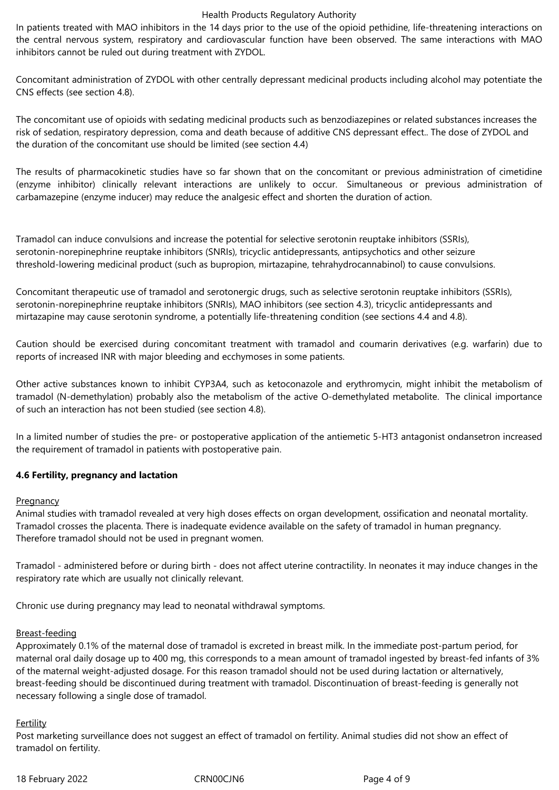#### Health Products Regulatory Authority

In patients treated with MAO inhibitors in the 14 days prior to the use of the opioid pethidine, life-threatening interactions on the central nervous system, respiratory and cardiovascular function have been observed. The same interactions with MAO inhibitors cannot be ruled out during treatment with ZYDOL.

Concomitant administration of ZYDOL with other centrally depressant medicinal products including alcohol may potentiate the CNS effects (see section 4.8).

The concomitant use of opioids with sedating medicinal products such as benzodiazepines or related substances increases the risk of sedation, respiratory depression, coma and death because of additive CNS depressant effect.. The dose of ZYDOL and the duration of the concomitant use should be limited (see section 4.4)

The results of pharmacokinetic studies have so far shown that on the concomitant or previous administration of cimetidine (enzyme inhibitor) clinically relevant interactions are unlikely to occur. Simultaneous or previous administration of carbamazepine (enzyme inducer) may reduce the analgesic effect and shorten the duration of action.

Tramadol can induce convulsions and increase the potential for selective serotonin reuptake inhibitors (SSRIs), serotonin-norepinephrine reuptake inhibitors (SNRIs), tricyclic antidepressants, antipsychotics and other seizure threshold-lowering medicinal product (such as bupropion, mirtazapine, tehrahydrocannabinol) to cause convulsions.

Concomitant therapeutic use of tramadol and serotonergic drugs, such as selective serotonin reuptake inhibitors (SSRIs), serotonin-norepinephrine reuptake inhibitors (SNRIs), MAO inhibitors (see section 4.3), tricyclic antidepressants and mirtazapine may cause serotonin syndrome, a potentially life-threatening condition (see sections 4.4 and 4.8).

Caution should be exercised during concomitant treatment with tramadol and coumarin derivatives (e.g. warfarin) due to reports of increased INR with major bleeding and ecchymoses in some patients.

Other active substances known to inhibit CYP3A4, such as ketoconazole and erythromycin, might inhibit the metabolism of tramadol (N-demethylation) probably also the metabolism of the active O-demethylated metabolite. The clinical importance of such an interaction has not been studied (see section 4.8).

In a limited number of studies the pre- or postoperative application of the antiemetic 5-HT3 antagonist ondansetron increased the requirement of tramadol in patients with postoperative pain.

# **4.6 Fertility, pregnancy and lactation**

#### **Pregnancy**

Animal studies with tramadol revealed at very high doses effects on organ development, ossification and neonatal mortality. Tramadol crosses the placenta. There is inadequate evidence available on the safety of tramadol in human pregnancy. Therefore tramadol should not be used in pregnant women.

Tramadol - administered before or during birth - does not affect uterine contractility. In neonates it may induce changes in the respiratory rate which are usually not clinically relevant.

Chronic use during pregnancy may lead to neonatal withdrawal symptoms.

#### Breast-feeding

Approximately 0.1% of the maternal dose of tramadol is excreted in breast milk. In the immediate post-partum period, for maternal oral daily dosage up to 400 mg, this corresponds to a mean amount of tramadol ingested by breast-fed infants of 3% of the maternal weight-adjusted dosage. For this reason tramadol should not be used during lactation or alternatively, breast-feeding should be discontinued during treatment with tramadol. Discontinuation of breast-feeding is generally not necessary following a single dose of tramadol.

#### **Fertility**

Post marketing surveillance does not suggest an effect of tramadol on fertility. Animal studies did not show an effect of tramadol on fertility.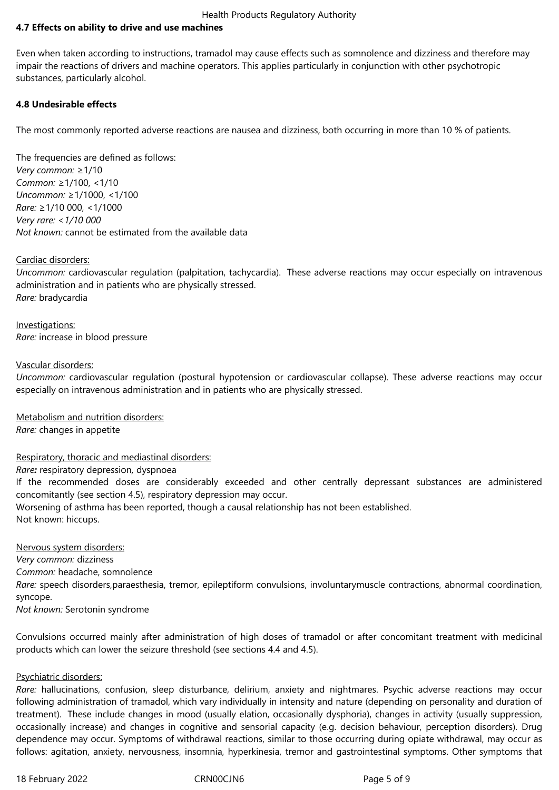# **4.7 Effects on ability to drive and use machines**

Even when taken according to instructions, tramadol may cause effects such as somnolence and dizziness and therefore may impair the reactions of drivers and machine operators. This applies particularly in conjunction with other psychotropic substances, particularly alcohol.

### **4.8 Undesirable effects**

The most commonly reported adverse reactions are nausea and dizziness, both occurring in more than 10 % of patients.

The frequencies are defined as follows: *Very common:* ≥1/10 *Common:* ≥1/100, <1/10 *Uncommon:* ≥1/1000, <1/100 *Rare:* ≥1/10 000, <1/1000 *Very rare: <1/10 000 Not known:* cannot be estimated from the available data

#### Cardiac disorders:

*Uncommon:* cardiovascular regulation (palpitation, tachycardia). These adverse reactions may occur especially on intravenous administration and in patients who are physically stressed. *Rare:* bradycardia

Investigations: *Rare:* increase in blood pressure

#### Vascular disorders:

*Uncommon:* cardiovascular regulation (postural hypotension or cardiovascular collapse). These adverse reactions may occur especially on intravenous administration and in patients who are physically stressed.

Metabolism and nutrition disorders:

*Rare:* changes in appetite

Respiratory, thoracic and mediastinal disorders:

*Rare:* respiratory depression*,* dyspnoea

If the recommended doses are considerably exceeded and other centrally depressant substances are administered concomitantly (see section 4.5), respiratory depression may occur.

Worsening of asthma has been reported, though a causal relationship has not been established. Not known: hiccups.

Nervous system disorders: *Very common:* dizziness *Common:* headache, somnolence *Rare:* speech disorders,paraesthesia, tremor, epileptiform convulsions, involuntarymuscle contractions, abnormal coordination, syncope. *Not known:* Serotonin syndrome

Convulsions occurred mainly after administration of high doses of tramadol or after concomitant treatment with medicinal products which can lower the seizure threshold (see sections 4.4 and 4.5).

#### Psychiatric disorders:

*Rare:* hallucinations, confusion, sleep disturbance, delirium, anxiety and nightmares. Psychic adverse reactions may occur following administration of tramadol, which vary individually in intensity and nature (depending on personality and duration of treatment). These include changes in mood (usually elation, occasionally dysphoria), changes in activity (usually suppression, occasionally increase) and changes in cognitive and sensorial capacity (e.g. decision behaviour, perception disorders). Drug dependence may occur. Symptoms of withdrawal reactions, similar to those occurring during opiate withdrawal, may occur as follows: agitation, anxiety, nervousness, insomnia, hyperkinesia, tremor and gastrointestinal symptoms. Other symptoms that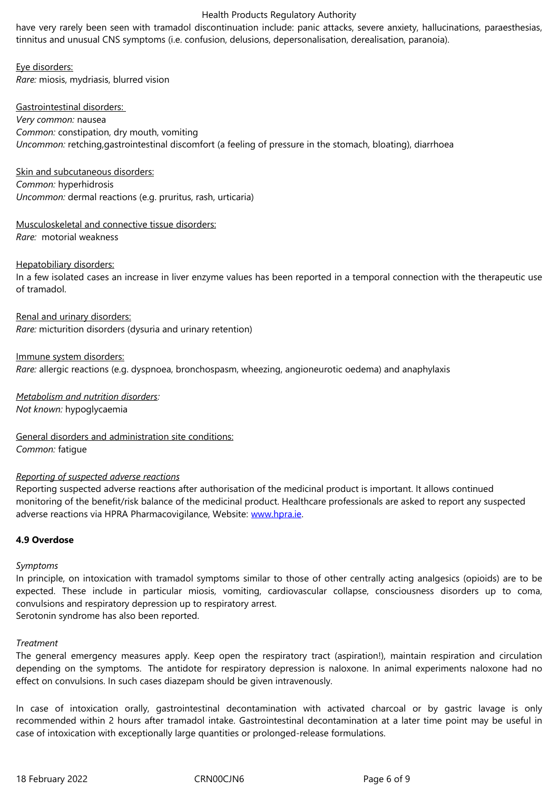Eye disorders: *Rare:* miosis, mydriasis, blurred vision

Gastrointestinal disorders: *Very common:* nausea *Common:* constipation, dry mouth, vomiting *Uncommon:* retching,gastrointestinal discomfort (a feeling of pressure in the stomach, bloating), diarrhoea

Skin and subcutaneous disorders: *Common:* hyperhidrosis *Uncommon:* dermal reactions (e.g. pruritus, rash, urticaria)

Musculoskeletal and connective tissue disorders: *Rare:*  motorial weakness

#### Hepatobiliary disorders:

In a few isolated cases an increase in liver enzyme values has been reported in a temporal connection with the therapeutic use of tramadol.

Renal and urinary disorders: *Rare:* micturition disorders (dysuria and urinary retention)

Immune system disorders:

*Rare:* allergic reactions (e.g. dyspnoea, bronchospasm, wheezing, angioneurotic oedema) and anaphylaxis

*Metabolism and nutrition disorders: Not known:* hypoglycaemia

General disorders and administration site conditions: *Common:* fatigue

#### *Reporting of suspected adverse reactions*

Reporting suspected adverse reactions after authorisation of the medicinal product is important. It allows continued monitoring of the benefit/risk balance of the medicinal product. Healthcare professionals are asked to report any suspected adverse reactions via HPRA Pharmacovigilance, Website: www.hpra.ie.

# **4.9 Overdose**

#### *Symptoms*

In principle, on intoxication with tramadol symptoms similar to those of other centrally acting analgesics (opioids) are to be expected. These include in particular miosis, vomiting, cardiovascular collapse, consciousness disorders up to coma, convulsions and respiratory depression up to respiratory arrest.

Serotonin syndrome has also been reported.

#### *Treatment*

The general emergency measures apply. Keep open the respiratory tract (aspiration!), maintain respiration and circulation depending on the symptoms. The antidote for respiratory depression is naloxone. In animal experiments naloxone had no effect on convulsions. In such cases diazepam should be given intravenously.

In case of intoxication orally, gastrointestinal decontamination with activated charcoal or by gastric lavage is only recommended within 2 hours after tramadol intake. Gastrointestinal decontamination at a later time point may be useful in case of intoxication with exceptionally large quantities or prolonged-release formulations.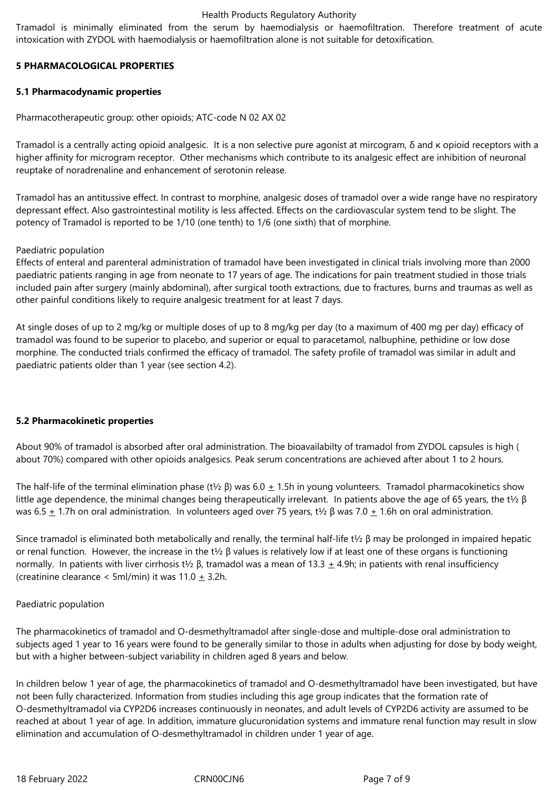#### Health Products Regulatory Authority

Tramadol is minimally eliminated from the serum by haemodialysis or haemofiltration. Therefore treatment of acute intoxication with ZYDOL with haemodialysis or haemofiltration alone is not suitable for detoxification.

# **5 PHARMACOLOGICAL PROPERTIES**

# **5.1 Pharmacodynamic properties**

Pharmacotherapeutic group: other opioids; ATC-code N 02 AX 02

Tramadol is a centrally acting opioid analgesic. It is a non selective pure agonist at mircogram, δ and κ opioid receptors with a higher affinity for microgram receptor. Other mechanisms which contribute to its analgesic effect are inhibition of neuronal reuptake of noradrenaline and enhancement of serotonin release.

Tramadol has an antitussive effect. In contrast to morphine, analgesic doses of tramadol over a wide range have no respiratory depressant effect. Also gastrointestinal motility is less affected. Effects on the cardiovascular system tend to be slight. The potency of Tramadol is reported to be 1/10 (one tenth) to 1/6 (one sixth) that of morphine.

# Paediatric population

Effects of enteral and parenteral administration of tramadol have been investigated in clinical trials involving more than 2000 paediatric patients ranging in age from neonate to 17 years of age. The indications for pain treatment studied in those trials included pain after surgery (mainly abdominal), after surgical tooth extractions, due to fractures, burns and traumas as well as other painful conditions likely to require analgesic treatment for at least 7 days.

At single doses of up to 2 mg/kg or multiple doses of up to 8 mg/kg per day (to a maximum of 400 mg per day) efficacy of tramadol was found to be superior to placebo, and superior or equal to paracetamol, nalbuphine, pethidine or low dose morphine. The conducted trials confirmed the efficacy of tramadol. The safety profile of tramadol was similar in adult and paediatric patients older than 1 year (see section 4.2).

# **5.2 Pharmacokinetic properties**

About 90% of tramadol is absorbed after oral administration. The bioavailabilty of tramadol from ZYDOL capsules is high ( about 70%) compared with other opioids analgesics. Peak serum concentrations are achieved after about 1 to 2 hours.

The half-life of the terminal elimination phase (t½  $\beta$ ) was 6.0  $\pm$  1.5h in young volunteers. Tramadol pharmacokinetics show little age dependence, the minimal changes being therapeutically irrelevant. In patients above the age of 65 years, the t½ β was 6.5  $\pm$  1.7h on oral administration. In volunteers aged over 75 years, t½ β was 7.0  $\pm$  1.6h on oral administration.

Since tramadol is eliminated both metabolically and renally, the terminal half-life t½  $\beta$  may be prolonged in impaired hepatic or renal function. However, the increase in the t½ β values is relatively low if at least one of these organs is functioning normally. In patients with liver cirrhosis t<sup>1</sup>/<sub>2</sub> β, tramadol was a mean of 13.3  $\pm$  4.9h; in patients with renal insufficiency (creatinine clearance < 5ml/min) it was  $11.0 \pm 3.2$ h.

# Paediatric population

The pharmacokinetics of tramadol and O-desmethyltramadol after single-dose and multiple-dose oral administration to subjects aged 1 year to 16 years were found to be generally similar to those in adults when adjusting for dose by body weight, but with a higher between-subject variability in children aged 8 years and below.

In children below 1 year of age, the pharmacokinetics of tramadol and O-desmethyltramadol have been investigated, but have not been fully characterized. Information from studies including this age group indicates that the formation rate of O-desmethyltramadol via CYP2D6 increases continuously in neonates, and adult levels of CYP2D6 activity are assumed to be reached at about 1 year of age. In addition, immature glucuronidation systems and immature renal function may result in slow elimination and accumulation of O-desmethyltramadol in children under 1 year of age.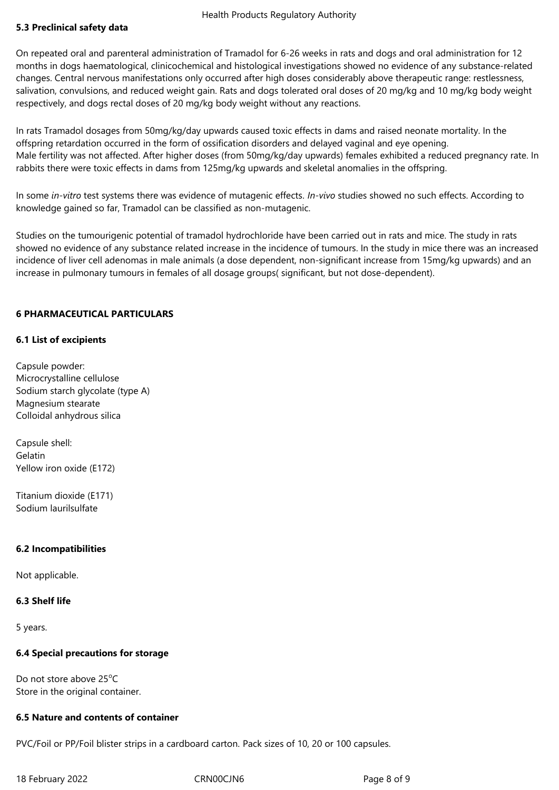# **5.3 Preclinical safety data**

On repeated oral and parenteral administration of Tramadol for 6-26 weeks in rats and dogs and oral administration for 12 months in dogs haematological, clinicochemical and histological investigations showed no evidence of any substance-related changes. Central nervous manifestations only occurred after high doses considerably above therapeutic range: restlessness, salivation, convulsions, and reduced weight gain. Rats and dogs tolerated oral doses of 20 mg/kg and 10 mg/kg body weight respectively, and dogs rectal doses of 20 mg/kg body weight without any reactions.

In rats Tramadol dosages from 50mg/kg/day upwards caused toxic effects in dams and raised neonate mortality. In the offspring retardation occurred in the form of ossification disorders and delayed vaginal and eye opening. Male fertility was not affected. After higher doses (from 50mg/kg/day upwards) females exhibited a reduced pregnancy rate. In rabbits there were toxic effects in dams from 125mg/kg upwards and skeletal anomalies in the offspring.

In some *in-vitro* test systems there was evidence of mutagenic effects. *In-vivo* studies showed no such effects. According to knowledge gained so far, Tramadol can be classified as non-mutagenic.

Studies on the tumourigenic potential of tramadol hydrochloride have been carried out in rats and mice. The study in rats showed no evidence of any substance related increase in the incidence of tumours. In the study in mice there was an increased incidence of liver cell adenomas in male animals (a dose dependent, non-significant increase from 15mg/kg upwards) and an increase in pulmonary tumours in females of all dosage groups( significant, but not dose-dependent).

# **6 PHARMACEUTICAL PARTICULARS**

# **6.1 List of excipients**

Capsule powder: Microcrystalline cellulose Sodium starch glycolate (type A) Magnesium stearate Colloidal anhydrous silica

Capsule shell: Gelatin Yellow iron oxide (E172)

Titanium dioxide (E171) Sodium laurilsulfate

#### **6.2 Incompatibilities**

Not applicable.

#### **6.3 Shelf life**

5 years.

# **6.4 Special precautions for storage**

Do not store above  $25^{\circ}$ C Store in the original container.

# **6.5 Nature and contents of container**

PVC/Foil or PP/Foil blister strips in a cardboard carton. Pack sizes of 10, 20 or 100 capsules.

18 February 2022 **CRNOOCJN6** CRNOOCJN6 Page 8 of 9